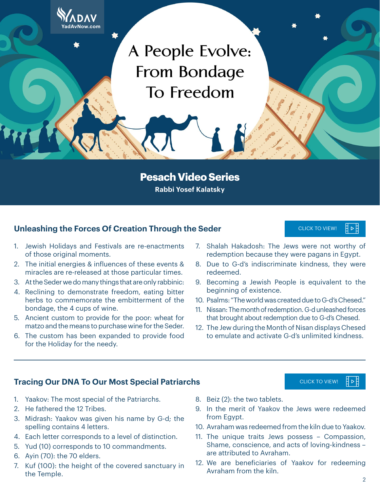A People Evolve: From Bondage To Freedom

**Pesach Video Series Rabbi Yosef Kalatsky**

#### **Unleashing the Forces Of Creation Through the Seder CLICK TO VIEW!** CLICK TO VIEW!

#### 1. Jewish Holidays and Festivals are re-enactments of those original moments.

**YadAvNow.com**

- 2. The initial energies & influences of these events & miracles are re-released at those particular times.
- 3. At the Seder we do many things that are only rabbinic:
- 4. Reclining to demonstrate freedom, eating bitter herbs to commemorate the embitterment of the bondage, the 4 cups of wine.
- 5. Ancient custom to provide for the poor: wheat for matzo and the means to purchase wine for the Seder.
- 6. The custom has been expanded to provide food for the Holiday for the needy.
- 7. Shalah Hakadosh: The Jews were not worthy of redemption because they were pagans in Egypt.
- 8. Due to G-d's indiscriminate kindness, they were redeemed.
- 9. Becoming a Jewish People is equivalent to the beginning of existence. [CLICK TO VIEW!](https://youtu.be/JqQjiJTdzoo)<br>
were not w<br>
ere pagans in<br>
kindness, th<br>
is equivaler<br>
due to G-d's<br>
click To VIEW!<br>
cLICK TO VIEW!<br>
cLICK TO VIEW!
- 10. Psalms: "The world was created due to G-d's Chesed."
- 11. Nissan: The month of redemption. G-d unleashed forces that brought about redemption due to G-d's Chesed.
- 12. The Jew during the Month of Nisan displays Chesed to emulate and activate G-d's unlimited kindness.

#### **Tracing Our DNA To Our Most Special Patriarchs** CLICK TO VIEW [CLICK TO VIEW!](https://youtu.be/QZQ89Ly1628)

- 1. Yaakov: The most special of the Patriarchs.
- 2. He fathered the 12 Tribes.
- 3. Midrash: Yaakov was given his name by G-d; the spelling contains 4 letters.
- 4. Each letter corresponds to a level of distinction.
- 5. Yud (10) corresponds to 10 commandments.
- 6. Ayin (70): the 70 elders.
- 7. Kuf (100): the height of the covered sanctuary in the Temple.
- 8. Beiz (2): the two tablets.
- 9. In the merit of Yaakov the Jews were redeemed from Eavpt.
- 10. Avraham was redeemed from the kiln due to Yaakov.
- 11. The unique traits Jews possess Compassion, Shame, conscience, and acts of loving-kindness – are attributed to Avraham.
- 12. We are beneficiaries of Yaakov for redeeming Avraham from the kiln.

∃⊳E

∃ ⊳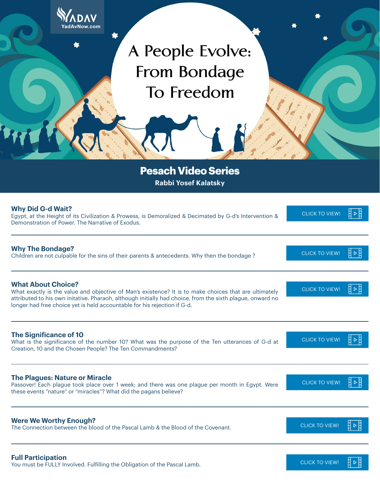| YadAvNow.com                                                                                                                                                                                                                                                                                                                |                              |  |
|-----------------------------------------------------------------------------------------------------------------------------------------------------------------------------------------------------------------------------------------------------------------------------------------------------------------------------|------------------------------|--|
| A People Evolve:<br><b>From Bondage</b><br>To Freedom                                                                                                                                                                                                                                                                       |                              |  |
| <b>Pesach Video Series</b><br><b>Rabbi Yosef Kalatsky</b>                                                                                                                                                                                                                                                                   |                              |  |
| <b>Why Did G-d Wait?</b><br>Egypt, at the Height of its Civilization & Prowess, is Demoralized & Decimated by G-d's Intervention &<br>Demonstration of Power. The Narrative of Exodus.                                                                                                                                      | 目▷目<br><b>CLICK TO VIEW!</b> |  |
| <b>Why The Bondage?</b><br>Children are not culpable for the sins of their parents & antecedents. Why then the bondage?                                                                                                                                                                                                     | 目▷目<br><b>CLICK TO VIEW!</b> |  |
| <b>What About Choice?</b><br>What exactly is the value and objective of Man's existence? It is to make choices that are ultimately<br>attributed to his own initative. Pharaoh, although initially had choice, from the sixth plague, onward no<br>longer had free choice yet is held accountable for his rejection if G-d. | ‼≥‼<br><b>CLICK TO VIEW!</b> |  |
| <b>The Significance of 10</b><br>What is the significance of the number 10? What was the purpose of the Ten utterances of G-d at<br>Creation, 10 and the Chosen People? The Ten Commandments?                                                                                                                               | <b>CLICK TO VIEW!</b>        |  |
| <b>The Plagues: Nature or Miracle</b><br>Passover! Each plague took place over 1 week; and there was one plague per month in Egypt. Were<br>these events "nature" or "miracles"? What did the pagans believe?                                                                                                               | <b>CLICK TO VIEW!</b>        |  |
| <b>Were We Worthy Enough?</b><br>The Connection between the blood of the Pascal Lamb & the Blood of the Covenant.                                                                                                                                                                                                           | <b>CLICK TO VIEW!</b>        |  |
| <b>Full Participation</b><br>the FULLY Involved Eufilling the Obligation of the Pascal Lamb                                                                                                                                                                                                                                 | ᅤ⊳⊧<br><b>CLICK TO VIEW!</b> |  |

**Full Participation** You must be FULLY Involved. Fulfilling the Obligation of the Pascal Lamb.

44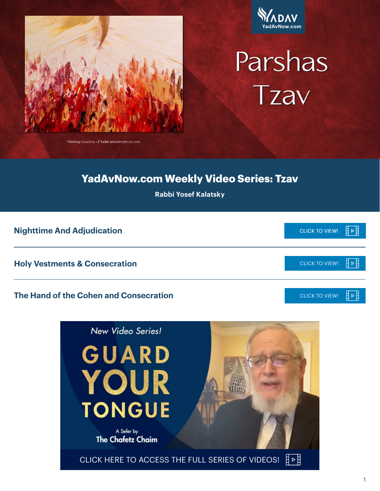



# Parshas Tzav

**YadAvNow.com Weekly Video Series: Tzav**

**Rabbi Yosef Kalatsky**

#### **Nighttime And Adjudication** [CLICK TO VIEW!](https://youtu.be/XcvJjqRXAOU)

#### **The Hand of the Cohen and Consecration**





目2目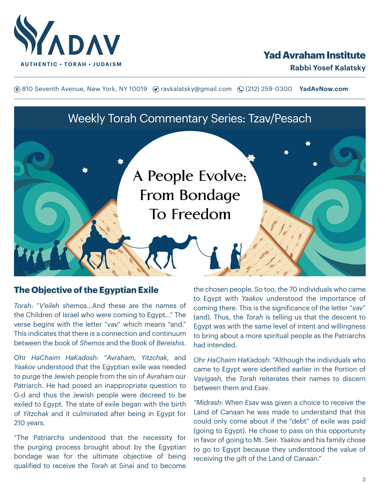

# **Yad Avraham Institute**

**(**® 810 Seventh Avenue, New York, NY 10019 (? ravkalatsky@gmail.com (2(212) 259-0300 **YadAvNow.com** 

Weekly Torah Commentary Series: Tzav/Pesach

# A People Evolve: **From Bondage** To Freedom

#### **The Objective of the Egyptian Exile**

*Torah*: "*V'eileh shemos*…And these are the names of the Children of Israel who were coming to Egypt…" The verse begins with the letter "*vav*" which means "and." This indicates that there is a connection and continuum between the book of *Shemos* and the Book of *Bereishis*.

Ohr *HaChaim HaKadosh*: "*Avraham*, *Yitzchak*, and *Yaakov* understood that the Egyptian exile was needed to purge the Jewish people from the sin of *Avraham* our Patriarch. He had posed an inappropriate question to G-d and thus the Jewish people were decreed to be exiled to Egypt. The state of exile began with the birth of *Yitzchak* and it culminated after being in Egypt for 210 years.

"The Patriarchs understood that the necessity for the purging process brought about by the Egyptian bondage was for the ultimate objective of being qualified to receive the *Torah* at Sinai and to become

the chosen people. So too, the 70 individuals who came to Egypt with *Yaakov* understood the importance of coming there. This is the significance of the letter "*vav*" (and). Thus, the *Torah* is telling us that the descent to Egypt was with the same level of intent and willingness to bring about a more spiritual people as the Patriarchs had intended.

Ohr *HaChaim HaKadosh*: "Although the individuals who came to Egypt were identified earlier in the Portion of *Vayigash*, the *Torah* reiterates their names to discern between them and *Esav*.

*"Midrash*: When *Esav* was given a choice to receive the Land of Canaan he was made to understand that this could only come about if the "debt" of exile was paid (going to Egypt). He chose to pass on this opportunity in favor of going to Mt. Seir. *Yaakov* and his family chose to go to Egypt because they understood the value of receiving the gift of the Land of Canaan."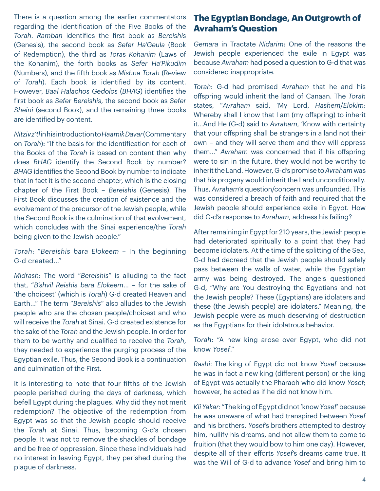There is a question among the earlier commentators regarding the identification of the Five Books of the *Torah*. *Ramban* identifies the first book as *Bereishis* (Genesis), the second book as *Sefer Ha'Geula* (Book of Redemption), the third as *Tora*s *Kohanim* (Laws of the Kohanim), the forth books as *Sefer Ha'Pikudim* (Numbers), and the fifth book as *Mishna Torah* (Review of *Torah*). Each book is identified by its content. However, *Baal Halachos Gedolos* (*BHAG*) identifies the first book as *Sefer Bereishis*, the second book as *Sefer Sheini* (second Book), and the remaining three books are identified by content.

*Nitziv z'tl* in his introduction to *HaamikDavar* (Commentary on *Torah*): "If the basis for the identification for each of the Books of the *Torah* is based on content then why does *BHAG* identify the Second Book by number? *BHAG* identifies the Second Book by number to indicate that in fact it is the second chapter, which is the closing chapter of the First Book – *Bereishis* (Genesis). The First Book discusses the creation of existence and the evolvement of the precursor of the Jewish people, while the Second Book is the culmination of that evolvement, which concludes with the Sinai experience/the *Torah* being given to the Jewish people."

*Torah*: "*Bereishis bara Elokeem* – In the beginning G-d created…"

*Midrash*: The word "*Bereishis*" is alluding to the fact that, "*B'shvil Reishis bara Elokeem*… – for the sake of 'the choicest' (which is *Torah*) G-d created Heaven and Earth..." The term "*Bereishis*" also alludes to the Jewish people who are the chosen people/choicest and who will receive the *Torah* at Sinai. G-d created existence for the sake of the *Torah* and the Jewish people. In order for them to be worthy and qualified to receive the *Torah*, they needed to experience the purging process of the Egyptian exile. Thus, the Second Book is a continuation and culmination of the First.

It is interesting to note that four fifths of the Jewish people perished during the days of darkness, which befell Egypt during the plagues. Why did they not merit redemption? The objective of the redemption from Egypt was so that the Jewish people should receive the *Torah* at Sinai. Thus, becoming G-d's chosen people. It was not to remove the shackles of bondage and be free of oppression. Since these individuals had no interest in leaving Egypt, they perished during the plague of darkness.

# **The Egyptian Bondage, An Outgrowth of Avraham's Question**

*Gemara* in Tractate *Nidarim*: One of the reasons the Jewish people experienced the exile in Egypt was because *Avraham* had posed a question to G-d that was considered inappropriate.

*Torah*: G-d had promised *Avraham* that he and his offspring would inherit the land of Canaan. The *Torah* states, "*Avraham* said, 'My Lord, *Hashem*/*Elokim*: Whereby shall I know that I am (my offspring) to inherit it…And He (G-d) said to *Avraham*, 'Know with certainty that your offspring shall be strangers in a land not their own – and they will serve them and they will oppress them…" *Avraham* was concerned that if his offspring were to sin in the future, they would not be worthy to inherit the Land. However, G-d's promise to *Avraham* was that his progeny would inherit the Land unconditionally. Thus, *Avraham*'s question/concern was unfounded. This was considered a breach of faith and required that the Jewish people should experience exile in Egypt. How did G-d's response to *Avraham*, address his failing?

After remaining in Egypt for 210 years, the Jewish people had deteriorated spiritually to a point that they had become idolaters. At the time of the splitting of the Sea, G-d had decreed that the Jewish people should safely pass between the walls of water, while the Egyptian army was being destroyed. The angels questioned G-d, "Why are You destroying the Egyptians and not the Jewish people? These (Egyptians) are idolaters and these (the Jewish people) are idolaters." Meaning, the Jewish people were as much deserving of destruction as the Egyptians for their idolatrous behavior.

*Torah*: "A new king arose over Egypt, who did not know *Yosef*."

*Rashi*: The king of Egypt did not know *Yosef* because he was in fact a new king (different person) or the king of Egypt was actually the Pharaoh who did know *Yosef*; however, he acted as if he did not know him.

*Kli Yakar*: "The king of Egypt did not 'know *Yosef*' because he was unaware of what had transpired between *Yosef* and his brothers. *Yosef*'s brothers attempted to destroy him, nullify his dreams, and not allow them to come to fruition (that they would bow to him one day). However, despite all of their efforts *Yosef*'s dreams came true. It was the Will of G-d to advance *Yosef* and bring him to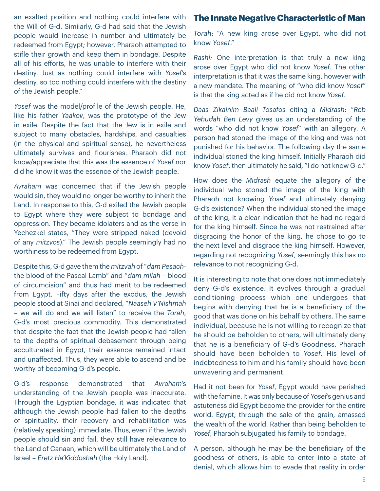an exalted position and nothing could interfere with the Will of G-d. Similarly, G-d had said that the Jewish people would increase in number and ultimately be redeemed from Egypt; however, Pharaoh attempted to stifle their growth and keep them in bondage. Despite all of his efforts, he was unable to interfere with their destiny. Just as nothing could interfere with *Yosef*'s destiny, so too nothing could interfere with the destiny of the Jewish people."

*Yosef* was the model/profile of the Jewish people. He, like his father *Yaakov*, was the prototype of the Jew in exile. Despite the fact that the Jew is in exile and subject to many obstacles, hardships, and casualties (in the physical and spiritual sense), he nevertheless ultimately survives and flourishes. Pharaoh did not know/appreciate that this was the essence of *Yosef* nor did he know it was the essence of the Jewish people.

*Avraham* was concerned that if the Jewish people would sin, they would no longer be worthy to inherit the Land. In response to this, G-d exiled the Jewish people to Egypt where they were subject to bondage and oppression. They became idolaters and as the verse in Yechezkel states, "They were stripped naked (devoid of any *mitzvos*)." The Jewish people seemingly had no worthiness to be redeemed from Egypt.

Despite this, G-d gave them the *mitzvah* of "*dam Pesach*the blood of the Pascal Lamb" and "*dam milah* – blood of circumcision" and thus had merit to be redeemed from Egypt. Fifty days after the exodus, the Jewish people stood at Sinai and declared, "*Naaseh V'Nishmah* – we will do and we will listen" to receive the *Torah*, G-d's most precious commodity. This demonstrated that despite the fact that the Jewish people had fallen to the depths of spiritual debasement through being acculturated in Egypt, their essence remained intact and unaffected. Thus, they were able to ascend and be worthy of becoming G-d's people.

G-d's response demonstrated that *Avraham*'s understanding of the Jewish people was inaccurate. Through the Egyptian bondage, it was indicated that although the Jewish people had fallen to the depths of spirituality, their recovery and rehabilitation was (relatively speaking) immediate. Thus, even if the Jewish people should sin and fail, they still have relevance to the Land of Canaan, which will be ultimately the Land of Israel – *Eretz Ha'Kiddoshah* (the Holy Land).

#### **The Innate Negative Characteristic of Man**

*Torah*: "A new king arose over Egypt, who did not know *Yosef*."

*Rashi:* One interpretation is that truly a new king arose over Egypt who did not know *Yosef*. The other interpretation is that it was the same king, however with a new mandate. The meaning of "who did know *Yosef*" is that the king acted as if he did not know *Yosef*.

*Daas Zikainim Baali Tosafos* citing a *Midrash*: "*Reb Yehudah Ben Levy* gives us an understanding of the words "who did not know *Yosef*" with an allegory. A person had stoned the image of the king and was not punished for his behavior. The following day the same individual stoned the king himself. Initially Pharaoh did know *Yosef*, then ultimately he said, "I do not know G-d."

How does the *Midrash* equate the allegory of the individual who stoned the image of the king with Pharaoh not knowing *Yosef* and ultimately denying G-d's existence? When the individual stoned the image of the king, it a clear indication that he had no regard for the king himself. Since he was not restrained after disgracing the honor of the king, he chose to go to the next level and disgrace the king himself. However, regarding not recognizing *Yosef*, seemingly this has no relevance to not recognizing G-d.

It is interesting to note that one does not immediately deny G-d's existence. It evolves through a gradual conditioning process which one undergoes that begins with denying that he is a beneficiary of the good that was done on his behalf by others. The same individual, because he is not willing to recognize that he should be beholden to others, will ultimately deny that he is a beneficiary of G-d's Goodness. Pharaoh should have been beholden to *Yosef*. His level of indebtedness to him and his family should have been unwavering and permanent.

Had it not been for *Yosef*, Egypt would have perished with the famine. It was only because of *Yosef*'s genius and astuteness did Egypt become the provider for the entire world. Egypt, through the sale of the grain, amassed the wealth of the world. Rather than being beholden to *Yosef*, Pharaoh subjugated his family to bondage.

A person, although he may be the beneficiary of the goodness of others, is able to enter into a state of denial, which allows him to evade that reality in order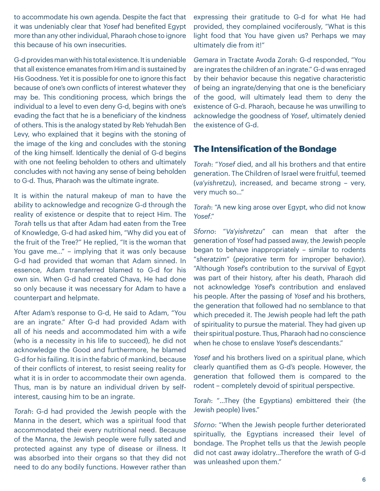to accommodate his own agenda. Despite the fact that it was undeniably clear that *Yosef* had benefited Egypt more than any other individual, Pharaoh chose to ignore this because of his own insecurities.

G-d provides man with his total existence. It is undeniable that all existence emanates from Him and is sustained by His Goodness. Yet it is possible for one to ignore this fact because of one's own conflicts of interest whatever they may be. This conditioning process, which brings the individual to a level to even deny G-d, begins with one's evading the fact that he is a beneficiary of the kindness of others. This is the analogy stated by Reb Yehudah Ben Levy, who explained that it begins with the stoning of the image of the king and concludes with the stoning of the king himself. Identically the denial of G-d begins with one not feeling beholden to others and ultimately concludes with not having any sense of being beholden to G-d. Thus, Pharaoh was the ultimate ingrate.

It is within the natural makeup of man to have the ability to acknowledge and recognize G-d through the reality of existence or despite that to reject Him. The *Torah* tells us that after Adam had eaten from the Tree of Knowledge, G-d had asked him, "Why did you eat of the fruit of the Tree?" He replied, "It is the woman that You gave me…" – implying that it was only because G-d had provided that woman that Adam sinned. In essence, Adam transferred blamed to G-d for his own sin. When G-d had created Chava, He had done so only because it was necessary for Adam to have a counterpart and helpmate.

After Adam's response to G-d, He said to Adam, "You are an ingrate." After G-d had provided Adam with all of his needs and accommodated him with a wife (who is a necessity in his life to succeed), he did not acknowledge the Good and furthermore, he blamed G-d for his failing. It is in the fabric of mankind, because of their conflicts of interest, to resist seeing reality for what it is in order to accommodate their own agenda. Thus, man is by nature an individual driven by selfinterest, causing him to be an ingrate.

*Torah*: G-d had provided the Jewish people with the Manna in the desert, which was a spiritual food that accommodated their every nutritional need. Because of the Manna, the Jewish people were fully sated and protected against any type of disease or illness. It was absorbed into their organs so that they did not need to do any bodily functions. However rather than

expressing their gratitude to G-d for what He had provided, they complained vociferously, "What is this light food that You have given us? Perhaps we may ultimately die from it!"

*Gemara* in Tractate Avoda Zorah: G-d responded, "You are ingrates the children of an ingrate." G-d was enraged by their behavior because this negative characteristic of being an ingrate/denying that one is the beneficiary of the good, will ultimately lead them to deny the existence of G-d. Pharaoh, because he was unwilling to acknowledge the goodness of *Yosef*, ultimately denied the existence of G-d.

#### **The Intensification of the Bondage**

*Torah*: "*Yosef* died, and all his brothers and that entire generation. The Children of Israel were fruitful, teemed (*va'yishretzu*), increased, and became strong – very, very much so…"

*Torah*: "A new king arose over Egypt, who did not know *Yosef*."

*Sforno*: "*Va'yishretzu*" can mean that after the generation of *Yosef* had passed away, the Jewish people began to behave inappropriately – similar to rodents "*sheratzim*" (pejorative term for improper behavior). "Although *Yosef*'s contribution to the survival of Egypt was part of their history, after his death, Pharaoh did not acknowledge *Yosef*'s contribution and enslaved his people. After the passing of *Yosef* and his brothers, the generation that followed had no semblance to that which preceded it. The Jewish people had left the path of spirituality to pursue the material. They had given up their spiritual posture. Thus, Pharaoh had no conscience when he chose to enslave *Yosef*'s descendants."

*Yosef* and his brothers lived on a spiritual plane, which clearly quantified them as G-d's people. However, the generation that followed them is compared to the rodent – completely devoid of spiritual perspective.

*Torah*: "…They (the Egyptians) embittered their (the Jewish people) lives."

*Sforno*: "When the Jewish people further deteriorated spiritually, the Egyptians increased their level of bondage. The Prophet tells us that the Jewish people did not cast away idolatry…Therefore the wrath of G-d was unleashed upon them."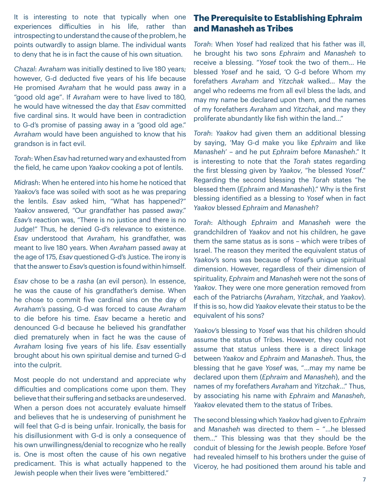It is interesting to note that typically when one experiences difficulties in his life, rather than introspecting to understand the cause of the problem, he points outwardly to assign blame. The individual wants to deny that he is in fact the cause of his own situation.

*Chazal*: *Avraham* was initially destined to live 180 years; however, G-d deducted five years of his life because He promised *Avraham* that he would pass away in a "good old age". If *Avraham* were to have lived to 180, he would have witnessed the day that *Esav* committed five cardinal sins. It would have been in contradiction to G-d's promise of passing away in a "good old age." *Avraham* would have been anguished to know that his grandson is in fact evil.

*Torah*: When *Esav* had returned wary and exhausted from the field, he came upon *Yaakov* cooking a pot of lentils.

*Midrash*: When he entered into his home he noticed that *Yaakov*'s face was soiled with soot as he was preparing the lentils. *Esav* asked him, "What has happened?" *Yaakov* answered, "Our grandfather has passed away." *Esav*'s reaction was, "There is no justice and there is no Judge!" Thus, he denied G-d's relevance to existence. *Esav* understood that *Avraham*, his grandfather, was meant to live 180 years. When *Avraham* passed away at the age of 175, *Esav* questioned G-d's Justice. The irony is that the answer to *Esav*'s question is found within himself.

*Esav* chose to be a *rasha* (an evil person). In essence, he was the cause of his grandfather's demise. When he chose to commit five cardinal sins on the day of *Avraham*'s passing, G-d was forced to cause *Avraham* to die before his time. *Esav* became a heretic and denounced G-d because he believed his grandfather died prematurely when in fact he was the cause of *Avraham* losing five years of his life. *Esav* essentially brought about his own spiritual demise and turned G-d into the culprit.

Most people do not understand and appreciate why difficulties and complications come upon them. They believe that their suffering and setbacks are undeserved. When a person does not accurately evaluate himself and believes that he is undeserving of punishment he will feel that G-d is being unfair. Ironically, the basis for his disillusionment with G-d is only a consequence of his own unwillingness/denial to recognize who he really is. One is most often the cause of his own negative predicament. This is what actually happened to the Jewish people when their lives were "embittered."

### **The Prerequisite to Establishing Ephraim and Manasheh as Tribes**

*Torah*: When *Yosef* had realized that his father was ill, he brought his two sons *Ephraim* and *Manasheh* to receive a blessing. "*Yosef* took the two of them… He blessed *Yosef* and he said, 'O G-d before Whom my forefathers *Avraham* and *Yitzchak* walked… May the angel who redeems me from all evil bless the lads, and may my name be declared upon them, and the names of my forefathers *Avraham* and *Yitzchak*, and may they proliferate abundantly like fish within the land…"

*Torah*: *Yaakov* had given them an additional blessing by saying, 'May G-d make you like *Ephraim* and like *Manasheh*' – and he put *Ephraim* before *Manasheh*." It is interesting to note that the *Torah* states regarding the first blessing given by *Yaakov*, "he blessed *Yosef*." Regarding the second blessing the *Torah* states "he blessed them (*Ephraim* and *Manasheh*)." Why is the first blessing identified as a blessing to *Yosef* when in fact *Yaakov* blessed *Ephraim* and *Manasheh*?

*Torah*: Although *Ephraim* and *Manasheh* were the grandchildren of *Yaakov* and not his children, he gave them the same status as is sons – which were tribes of Israel. The reason they merited the equivalent status of *Yaakov*'s sons was because of *Yosef*'s unique spiritual dimension. However, regardless of their dimension of spirituality, *Ephraim* and *Manasheh* were not the sons of *Yaakov*. They were one more generation removed from each of the Patriarchs (*Avraham*, *Yitzchak*, and *Yaakov*). If this is so, how did *Yaakov* elevate their status to be the equivalent of his sons?

*Yaakov*'s blessing to *Yosef* was that his children should assume the status of Tribes. However, they could not assume that status unless there is a direct linkage between *Yaakov* and *Ephraim* and *Manasheh*. Thus, the blessing that he gave *Yosef* was, "…may my name be declared upon them (*Ephraim* and *Manasheh*), and the names of my forefathers *Avraham* and *Yitzchak*…" Thus, by associating his name with *Ephraim* and *Manasheh*, *Yaakov* elevated them to the status of Tribes.

The second blessing which *Yaakov* had given to *Ephraim* and *Manasheh* was directed to them – "…he blessed them…" This blessing was that they should be the conduit of blessing for the Jewish people. Before *Yosef* had revealed himself to his brothers under the guise of Viceroy, he had positioned them around his table and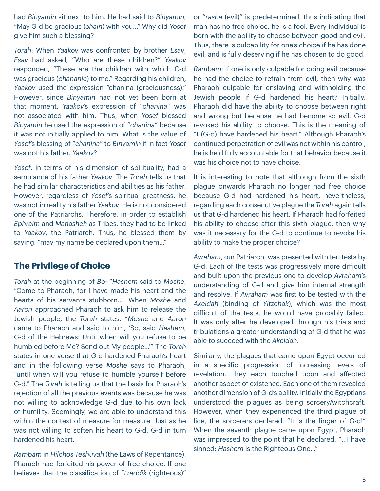had *Binyamin* sit next to him. He had said to *Binyamin*, "May G-d be gracious (*chain*) with you…" Why did *Yosef* give him such a blessing?

*Torah*: When *Yaakov* was confronted by brother *Esav*, *Esav* had asked, "Who are these children?" *Yaakov* responded, "These are the children with which G-d was gracious (*chananie*) to me." Regarding his children, *Yaakov* used the expression "chanina (graciousness)." However, since *Binyamin* had not yet been born at that moment, *Yaakov*'s expression of "*chanina*" was not associated with him. Thus, when *Yosef* blessed *Binyamin* he used the expression of "*chanina*" because it was not initially applied to him. What is the value of *Yosef*'s blessing of "*chanina*" to *Binyamin* if in fact *Yosef* was not his father, *Yaakov*?

*Yosef*, in terms of his dimension of spirituality, had a semblance of his father *Yaakov*. The *Torah* tells us that he had similar characteristics and abilities as his father. However, regardless of *Yosef*'s spiritual greatness, he was not in reality his father *Yaakov*. He is not considered one of the Patriarchs. Therefore, in order to establish *Ephraim* and *Manasheh* as Tribes, they had to be linked to *Yaakov*, the Patriarch. Thus, he blessed them by saying, "may my name be declared upon them…"

#### **The Privilege of Choice**

*Torah* at the beginning of *Bo*: "*Hashem* said to *Moshe*, "Come to Pharaoh, for I have made his heart and the hearts of his servants stubborn…" When *Moshe* and *Aaron* approached Pharaoh to ask him to release the Jewish people, the *Torah* states, "*Moshe* and *Aaron* came to Pharaoh and said to him, 'So, said *Hashem*, G-d of the Hebrews: Until when will you refuse to be humbled before Me? Send out My people…'" The *Torah* states in one verse that G-d hardened Pharaoh's heart and in the following verse *Moshe* says to Pharaoh, "until when will you refuse to humble yourself before G-d." The *Torah* is telling us that the basis for Pharaoh's rejection of all the previous events was because he was not willing to acknowledge G-d due to his own lack of humility. Seemingly, we are able to understand this within the context of measure for measure. Just as he was not willing to soften his heart to G-d, G-d in turn hardened his heart.

*Rambam* in *Hilchos Teshuvah* (the Laws of Repentance): Pharaoh had forfeited his power of free choice. If one believes that the classification of "*tzaddik* (righteous)"

or "*rasha* (evil)" is predetermined, thus indicating that man has no free choice, he is a fool. Every individual is born with the ability to choose between good and evil. Thus, there is culpability for one's choice if he has done evil, and is fully deserving if he has chosen to do good.

*Rambam*: If one is only culpable for doing evil because he had the choice to refrain from evil, then why was Pharaoh culpable for enslaving and withholding the Jewish people if G-d hardened his heart? Initially, Pharaoh did have the ability to choose between right and wrong but because he had become so evil, G-d revoked his ability to choose. This is the meaning of "I (G-d) have hardened his heart." Although Pharaoh's continued perpetration of evil was not within his control, he is held fully accountable for that behavior because it was his choice not to have choice.

It is interesting to note that although from the sixth plague onwards Pharaoh no longer had free choice because G-d had hardened his heart, nevertheless, regarding each consecutive plague the *Torah* again tells us that G-d hardened his heart. If Pharaoh had forfeited his ability to choose after this sixth plague, then why was it necessary for the G-d to continue to revoke his ability to make the proper choice?

*Avraham*, our Patriarch, was presented with ten tests by G-d. Each of the tests was progressively more difficult and built upon the previous one to develop *Avraham*'s understanding of G-d and give him internal strength and resolve. If *Avraham* was first to be tested with the *Akeidah* (binding of *Yitzchak*), which was the most difficult of the tests, he would have probably failed. It was only after he developed through his trials and tribulations a greater understanding of G-d that he was able to succeed with the *Akeidah*.

Similarly, the plagues that came upon Egypt occurred in a specific progression of increasing levels of revelation. They each touched upon and affected another aspect of existence. Each one of them revealed another dimension of G-d's ability. Initially the Egyptians understood the plagues as being sorcery/witchcraft. However, when they experienced the third plague of lice, the sorcerers declared, "It is the finger of G-d!" When the seventh plague came upon Egypt, Pharaoh was impressed to the point that he declared, "…I have sinned; *Hashem* is the Righteous One…"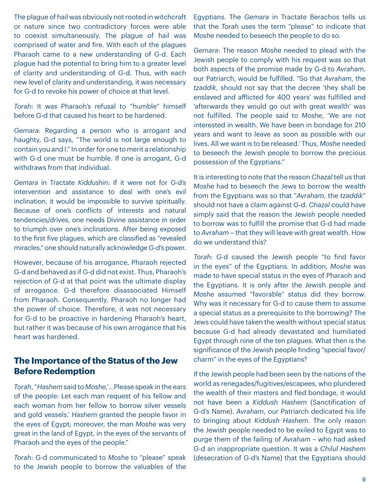The plague of hail was obviously not rooted in witchcraft or nature since two contradictory forces were able to coexist simultaneously. The plague of hail was comprised of water and fire. With each of the plagues Pharaoh came to a new understanding of G-d. Each plague had the potential to bring him to a greater level of clarity and understanding of G-d. Thus, with each new level of clarity and understanding, it was necessary for G-d to revoke his power of choice at that level.

*Torah*: It was Pharaoh's refusal to "humble" himself before G-d that caused his heart to be hardened.

*Gemara*: Regarding a person who is arrogant and haughty, G-d says, "The world is not large enough to contain you and I." In order for one to merit a relationship with G-d one must be humble. If one is arrogant, G-d withdraws from that individual.

*Gemara* in Tractate *Kiddushin*: If it were not for G-d's intervention and assistance to deal with one's evil inclination, it would be impossible to survive spiritually. Because of one's conflicts of interests and natural tendencies/drives, one needs Divine assistance in order to triumph over one's inclinations. After being exposed to the first five plagues, which are classified as "revealed miracles," one should naturally acknowledge G-d's power.

However, because of his arrogance, Pharaoh rejected G-d and behaved as if G-d did not exist. Thus, Pharaoh's rejection of G-d at that point was the ultimate display of arrogance. G-d therefore disassociated Himself from Pharaoh. Consequently, Pharaoh no longer had the power of choice. Therefore, it was not necessary for G-d to be proactive in hardening Pharaoh's heart, but rather it was because of his own arrogance that his heart was hardened.

# **The Importance of the Status of the Jew Before Redemption**

*Torah*, "*Hashem* said to *Moshe*,'…Please speak in the ears of the people: Let each man request of his fellow and each woman from her fellow to borrow silver vessels and gold vessels.' *Hashem* granted the people favor in the eyes of Egypt; moreover, the man *Moshe* was very great in the land of Egypt, in the eyes of the servants of Pharaoh and the eyes of the people."

*Torah*: G-d communicated to *Moshe* to "please" speak to the Jewish people to borrow the valuables of the

Egyptians. The *Gemara* in Tractate Berachos tells us that the *Torah* uses the term "please" to indicate that *Moshe* needed to beseech the people to do so.

*Gemara*: The reason *Moshe* needed to plead with the Jewish people to comply with his request was so that both aspects of the promise made by G-d to *Avraham*, our Patriarch, would be fulfilled. "So that *Avraham*, the *tzaddik*, should not say that the decree 'they shall be enslaved and afflicted for 400 years' was fulfilled and 'afterwards they would go out with great wealth' was not fulfilled. The people said to *Moshe*, 'We are not interested in wealth. We have been in bondage for 210 years and want to leave as soon as possible with our lives. All we want is to be released.' Thus, *Moshe* needed to beseech the Jewish people to borrow the precious possession of the Egyptians."

It is interesting to note that the reason *Chazal* tell us that *Moshe* had to beseech the Jews to borrow the wealth from the Egyptians was so that "*Avraham*, the *tzaddik*" should not have a claim against G-d. *Chazal* could have simply said that the reason the Jewish people needed to borrow was to fulfill the promise that G-d had made to *Avraham* – that they will leave with great wealth. How do we understand this?

*Torah*: G-d caused the Jewish people "to find favor in the eyes" of the Egyptians. In addition, *Moshe* was made to have special status in the eyes of Pharaoh and the Egyptians. It is only after the Jewish people and *Moshe* assumed "favorable" status did they borrow. Why was it necessary for G-d to cause them to assume a special status as a prerequisite to the borrowing? The Jews could have taken the wealth without special status because G-d had already devastated and humiliated Egypt through nine of the ten plagues. What then is the significance of the Jewish people finding "special favor/ charm" in the eyes of the Egyptians?

If the Jewish people had been seen by the nations of the world as renegades/fugitives/escapees, who plundered the wealth of their masters and fled bondage, it would not have been a *Kiddush Hashem* (Sanctification of G-d's Name). *Avraham*, our Patriarch dedicated his life to bringing about *Kiddush Hashem*. The only reason the Jewish people needed to be exiled to Egypt was to purge them of the failing of *Avraham* – who had asked G-d an inappropriate question. It was a *Chilul Hashem* (desecration of G-d's Name) that the Egyptians should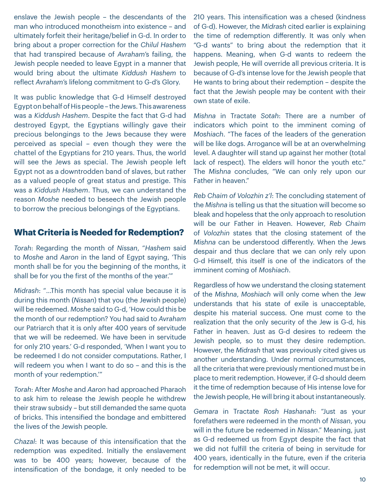enslave the Jewish people – the descendants of the man who introduced monotheism into existence – and ultimately forfeit their heritage/belief in G-d. In order to bring about a proper correction for the *Chilul Hashem* that had transpired because of *Avraham*'s failing, the Jewish people needed to leave Egypt in a manner that would bring about the ultimate *Kiddush Hashem* to reflect *Avraham*'s lifelong commitment to G-d's Glory.

It was public knowledge that G-d Himself destroyed Egypt on behalf of His people – the Jews. This awareness was a *Kiddush Hashem*. Despite the fact that G-d had destroyed Egypt, the Egyptians willingly gave their precious belongings to the Jews because they were perceived as special – even though they were the chattel of the Egyptians for 210 years. Thus, the world will see the Jews as special. The Jewish people left Egypt not as a downtrodden band of slaves, but rather as a valued people of great status and prestige. This was a *Kiddush Hashem*. Thus, we can understand the reason *Moshe* needed to beseech the Jewish people to borrow the precious belongings of the Egyptians.

#### **What Criteria is Needed for Redemption?**

*Torah*: Regarding the month of *Nissan*, "*Hashem* said to *Moshe* and *Aaron* in the land of Egypt saying, 'This month shall be for you the beginning of the months, it shall be for you the first of the months of the year.'"

*Midrash*: "…This month has special value because it is during this month (*Nissan*) that you (the Jewish people) will be redeemed. *Moshe* said to G-d, 'How could this be the month of our redemption? You had said to *Avraham* our Patriarch that it is only after 400 years of servitude that we will be redeemed. We have been in servitude for only 210 years.' G-d responded, 'When I want you to be redeemed I do not consider computations. Rather, I will redeem you when I want to do so – and this is the month of your redemption.'"

*Torah*: After *Moshe* and *Aaron* had approached Pharaoh to ask him to release the Jewish people he withdrew their straw subsidy – but still demanded the same quota of bricks. This intensified the bondage and embittered the lives of the Jewish people.

*Chazal*: It was because of this intensification that the redemption was expedited. Initially the enslavement was to be 400 years; however, because of the intensification of the bondage, it only needed to be

210 years. This intensification was a chesed (kindness of G-d). However, the *Midrash* cited earlier is explaining the time of redemption differently. It was only when "G-d wants" to bring about the redemption that it happens. Meaning, when G-d wants to redeem the Jewish people, He will override all previous criteria. It is because of G-d's intense love for the Jewish people that He wants to bring about their redemption – despite the fact that the Jewish people may be content with their own state of exile.

*Mishna* in Tractate *Sotah*: There are a number of indicators which point to the imminent coming of *Moshiach*. "The faces of the leaders of the generation will be like dogs. Arrogance will be at an overwhelming level. A daughter will stand up against her mother (total lack of respect). The elders will honor the youth etc." The *Mishna* concludes, "We can only rely upon our Father in heaven."

*Reb Chaim of Volozhin z'l*: The concluding statement of the *Mishna* is telling us that the situation will become so bleak and hopeless that the only approach to resolution will be our Father in Heaven. However, *Reb Chaim* of *Volozhin* states that the closing statement of the *Mishna* can be understood differently. When the Jews despair and thus declare that we can only rely upon G-d Himself, this itself is one of the indicators of the imminent coming of *Moshiach*.

Regardless of how we understand the closing statement of the *Mishna*, *Moshiach* will only come when the Jew understands that his state of exile is unacceptable, despite his material success. One must come to the realization that the only security of the Jew is G-d, his Father in heaven. Just as G-d desires to redeem the Jewish people, so to must they desire redemption. However, the *Midrash* that was previously cited gives us another understanding. Under normal circumstances, all the criteria that were previously mentioned must be in place to merit redemption. However, if G-d should deem it the time of redemption because of His intense love for the Jewish people, He will bring it about instantaneously.

*Gemara* in Tractate *Rosh Hashanah*: "Just as your forefathers were redeemed in the month of *Nissan*, you will in the future be redeemed in *Nissan*." Meaning, just as G-d redeemed us from Egypt despite the fact that we did not fulfill the criteria of being in servitude for 400 years, identically in the future, even if the criteria for redemption will not be met, it will occur.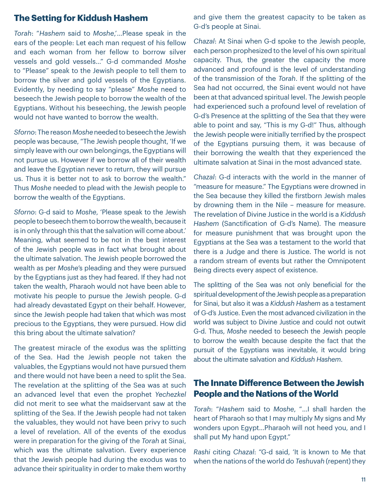#### **The Setting for Kiddush Hashem**

*Torah*: "*Hashem* said to *Moshe*,'…Please speak in the ears of the people: Let each man request of his fellow and each woman from her fellow to borrow silver vessels and gold vessels…" G-d commanded *Moshe* to "Please" speak to the Jewish people to tell them to borrow the silver and gold vessels of the Egyptians. Evidently, by needing to say "please" *Moshe* need to beseech the Jewish people to borrow the wealth of the Egyptians. Without his beseeching, the Jewish people would not have wanted to borrow the wealth.

*Sforno*: The reason *Moshe* needed to beseech the Jewish people was because, "The Jewish people thought, 'If we simply leave with our own belongings, the Egyptians will not pursue us. However if we borrow all of their wealth and leave the Egyptian never to return, they will pursue us. Thus it is better not to ask to borrow the wealth." Thus *Moshe* needed to plead with the Jewish people to borrow the wealth of the Egyptians.

*Sforno*: G-d said to *Moshe*, 'Please speak to the Jewish people to beseech them to borrow the wealth, because it is in only through this that the salvation will come about.' Meaning, what seemed to be not in the best interest of the Jewish people was in fact what brought about the ultimate salvation. The Jewish people borrowed the wealth as per *Moshe*'s pleading and they were pursued by the Egyptians just as they had feared. If they had not taken the wealth, Pharaoh would not have been able to motivate his people to pursue the Jewish people. G-d had already devastated Egypt on their behalf. However, since the Jewish people had taken that which was most precious to the Egyptians, they were pursued. How did this bring about the ultimate salvation?

The greatest miracle of the exodus was the splitting of the Sea. Had the Jewish people not taken the valuables, the Egyptians would not have pursued them and there would not have been a need to split the Sea. The revelation at the splitting of the Sea was at such an advanced level that even the prophet *Yechezkel* did not merit to see what the maidservant saw at the splitting of the Sea. If the Jewish people had not taken the valuables, they would not have been privy to such a level of revelation. All of the events of the exodus were in preparation for the giving of the *Torah* at Sinai, which was the ultimate salvation. Every experience that the Jewish people had during the exodus was to advance their spirituality in order to make them worthy

and give them the greatest capacity to be taken as G-d's people at Sinai.

*Chazal*: At Sinai when G-d spoke to the Jewish people, each person prophesized to the level of his own spiritual capacity. Thus, the greater the capacity the more advanced and profound is the level of understanding of the transmission of the *Torah*. If the splitting of the Sea had not occurred, the Sinai event would not have been at that advanced spiritual level. The Jewish people had experienced such a profound level of revelation of G-d's Presence at the splitting of the Sea that they were able to point and say, "This is my G-d!" Thus, although the Jewish people were initially terrified by the prospect of the Egyptians pursuing them, it was because of their borrowing the wealth that they experienced the ultimate salvation at Sinai in the most advanced state.

*Chazal*: G-d interacts with the world in the manner of "measure for measure." The Egyptians were drowned in the Sea because they killed the firstborn Jewish males by drowning them in the Nile – measure for measure. The revelation of Divine Justice in the world is a *Kiddush Hashem* (Sanctification of G-d's Name). The measure for measure punishment that was brought upon the Egyptians at the Sea was a testament to the world that there is a Judge and there is Justice. The world is not a random stream of events but rather the Omnipotent Being directs every aspect of existence.

The splitting of the Sea was not only beneficial for the spiritual development of the Jewish people as a preparation for Sinai, but also it was a *Kiddush Hashem* as a testament of G-d's Justice. Even the most advanced civilization in the world was subject to Divine Justice and could not outwit G-d. Thus, *Moshe* needed to beseech the Jewish people to borrow the wealth because despite the fact that the pursuit of the Egyptians was inevitable, it would bring about the ultimate salvation and *Kiddush Hashem*.

#### **The Innate Difference Between the Jewish People and the Nations of the World**

*Torah*: "*Hashem* said to *Moshe*, "…I shall harden the heart of Pharaoh so that I may multiply My signs and My wonders upon Egypt…Pharaoh will not heed you, and I shall put My hand upon Egypt."

*Rashi* citing *Chazal*: "G-d said, 'It is known to Me that when the nations of the world do *Teshuvah* (repent) they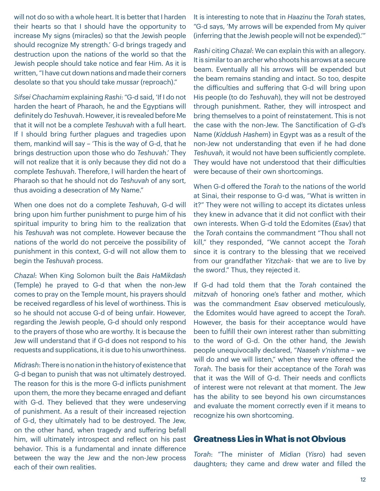will not do so with a whole heart. It is better that I harden their hearts so that I should have the opportunity to increase My signs (miracles) so that the Jewish people should recognize My strength.' G-d brings tragedy and destruction upon the nations of the world so that the Jewish people should take notice and fear Him. As it is written, "I have cut down nations and made their corners desolate so that you should take *mussar* (reproach)."

*Sifsei Chachamim* explaining *Rashi*: "G-d said, 'If I do not harden the heart of Pharaoh, he and the Egyptians will definitely do *Teshuvah*. However, it is revealed before Me that it will not be a complete *Teshuvah* with a full heart. If I should bring further plagues and tragedies upon them, mankind will say – 'This is the way of G-d, that he brings destruction upon those who do *Teshuvah*.' They will not realize that it is only because they did not do a complete *Teshuvah*. Therefore, I will harden the heart of Pharaoh so that he should not do *Teshuvah* of any sort, thus avoiding a desecration of My Name."

When one does not do a complete *Teshuvah*, G-d will bring upon him further punishment to purge him of his spiritual impurity to bring him to the realization that his *Teshuvah* was not complete. However because the nations of the world do not perceive the possibility of punishment in this context, G-d will not allow them to begin the *Teshuvah* process.

*Chazal*: When King Solomon built the *Bais HaMikdash* (Temple) he prayed to G-d that when the non-Jew comes to pray on the Temple mount, his prayers should be received regardless of his level of worthiness. This is so he should not accuse G-d of being unfair. However, regarding the Jewish people, G-d should only respond to the prayers of those who are worthy. It is because the Jew will understand that if G-d does not respond to his requests and supplications, it is due to his unworthiness.

*Midrash*: There is no nation in the history of existence that G-d began to punish that was not ultimately destroyed. The reason for this is the more G-d inflicts punishment upon them, the more they became enraged and defiant with G-d. They believed that they were undeserving of punishment. As a result of their increased rejection of G-d, they ultimately had to be destroyed. The Jew, on the other hand, when tragedy and suffering befall him, will ultimately introspect and reflect on his past behavior. This is a fundamental and innate difference between the way the Jew and the non-Jew process each of their own realities.

It is interesting to note that in *Haazinu* the *Torah* states, "G-d says, 'My arrows will be expended from My quiver (inferring that the Jewish people will not be expended).'"

*Rashi* citing *Chazal*: We can explain this with an allegory. It is similar to an archer who shoots his arrows at a secure beam. Eventually all his arrows will be expended but the beam remains standing and intact. So too, despite the difficulties and suffering that G-d will bring upon His people (to do *Teshuvah*), they will not be destroyed through punishment. Rather, they will introspect and bring themselves to a point of reinstatement. This is not the case with the non-Jew. The Sanctification of G-d's Name (*Kiddush Hashem*) in Egypt was as a result of the non-Jew not understanding that even if he had done *Teshuvah*, it would not have been sufficiently complete. They would have not understood that their difficulties were because of their own shortcomings.

When G-d offered the *Torah* to the nations of the world at Sinai, their response to G-d was, "What is written in it?" They were not willing to accept its dictates unless they knew in advance that it did not conflict with their own interests. When G-d told the Edomites (*Esav*) that the *Torah* contains the commandment "Thou shall not kill," they responded, "We cannot accept the *Torah* since it is contrary to the blessing that we received from our grandfather *Yitzchak*- that we are to live by the sword." Thus, they rejected it.

If G-d had told them that the *Torah* contained the *mitzvah* of honoring one's father and mother, which was the commandment *Esav* observed meticulously, the Edomites would have agreed to accept the *Torah*. However, the basis for their acceptance would have been to fulfill their own interest rather than submitting to the word of G-d. On the other hand, the Jewish people unequivocally declared, "*Naaseh v'nishma* – we will do and we will listen," when they were offered the *Torah*. The basis for their acceptance of the *Torah* was that it was the Will of G-d. Their needs and conflicts of interest were not relevant at that moment. The Jew has the ability to see beyond his own circumstances and evaluate the moment correctly even if it means to recognize his own shortcoming.

#### **Greatness Lies in What is not Obvious**

*Torah*: "The minister of *Midian* (*Yisro*) had seven daughters; they came and drew water and filled the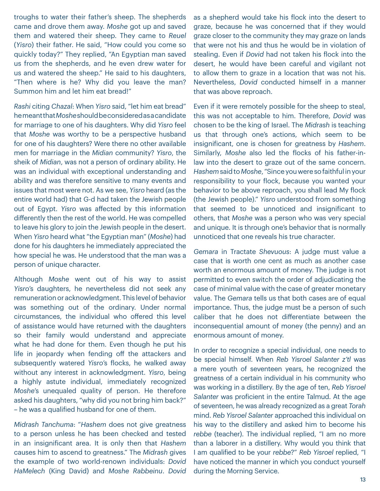troughs to water their father's sheep. The shepherds came and drove them away. *Moshe* got up and saved them and watered their sheep. They came to *Reuel* (*Yisro*) their father. He said, "How could you come so quickly today?" They replied, "An Egyptian man saved us from the shepherds, and he even drew water for us and watered the sheep." He said to his daughters, "Then where is he? Why did you leave the man? Summon him and let him eat bread!"

*Rashi* citing *Chazal*: When *Yisro* said, "let him eat bread" he meant that *Moshe* should be considered as a candidate for marriage to one of his daughters. Why did *Yisro* feel that *Moshe* was worthy to be a perspective husband for one of his daughters? Were there no other available men for marriage in the *Midian* community? *Yisro*, the sheik of *Midian*, was not a person of ordinary ability. He was an individual with exceptional understanding and ability and was therefore sensitive to many events and issues that most were not. As we see, *Yisro* heard (as the entire world had) that G-d had taken the Jewish people out of Egypt. *Yisro* was affected by this information differently then the rest of the world. He was compelled to leave his glory to join the Jewish people in the desert. When *Yisro* heard what "the Egyptian man" (*Moshe*) had done for his daughters he immediately appreciated the how special he was. He understood that the man was a person of unique character.

Although *Moshe* went out of his way to assist *Yisro*'s daughters, he nevertheless did not seek any remuneration or acknowledgment. This level of behavior was something out of the ordinary. Under normal circumstances, the individual who offered this level of assistance would have returned with the daughters so their family would understand and appreciate what he had done for them. Even though he put his life in jeopardy when fending off the attackers and subsequently watered *Yisro*'s flocks, he walked away without any interest in acknowledgment. *Yisro*, being a highly astute individual, immediately recognized *Moshe*'s unequaled quality of person. He therefore asked his daughters, "why did you not bring him back?" – he was a qualified husband for one of them.

*Midrash Tanchuma*: "*Hashem* does not give greatness to a person unless he has been checked and tested in an insignificant area. It is only then that *Hashem* causes him to ascend to greatness." The *Midrash* gives the example of two world-renown individuals: *Dovid HaMelech* (King David) and *Moshe Rabbeinu*. *Dovid* as a shepherd would take his flock into the desert to graze, because he was concerned that if they would graze closer to the community they may graze on lands that were not his and thus he would be in violation of stealing. Even if *Dovid* had not taken his flock into the desert, he would have been careful and vigilant not to allow them to graze in a location that was not his. Nevertheless, *Dovid* conducted himself in a manner that was above reproach.

Even if it were remotely possible for the sheep to steal, this was not acceptable to him. Therefore, *Dovid* was chosen to be the king of Israel. The *Midrash* is teaching us that through one's actions, which seem to be insignificant, one is chosen for greatness by *Hashem*. Similarly, *Moshe* also led the flocks of his father-inlaw into the desert to graze out of the same concern. *Hashem* said to *Moshe*, "Since you were so faithful in your responsibility to your flock, because you wanted your behavior to be above reproach, you shall lead My flock (the Jewish people)." *Yisro* understood from something that seemed to be unnoticed and insignificant to others, that *Moshe* was a person who was very special and unique. It is through one's behavior that is normally unnoticed that one reveals his true character.

*Gemara* in Tractate *Shevuous*: A judge must value a case that is worth one cent as much as another case worth an enormous amount of money. The judge is not permitted to even switch the order of adjudicating the case of minimal value with the case of greater monetary value. The *Gemara* tells us that both cases are of equal importance. Thus, the judge must be a person of such caliber that he does not differentiate between the inconsequential amount of money (the penny) and an enormous amount of money.

In order to recognize a special individual, one needs to be special himself. When *Reb Yisroel Salanter z'tl* was a mere youth of seventeen years, he recognized the greatness of a certain individual in his community who was working in a distillery. By the age of ten, *Reb Yisroel Salanter* was proficient in the entire Talmud. At the age of seventeen, he was already recognized as a great *Torah* mind. *Reb Yisroel Salanter* approached this individual on his way to the distillery and asked him to become his *rebbe* (teacher). The individual replied, "I am no more than a laborer in a distillery. Why would you think that I am qualified to be your *rebbe*?" *Reb Yisroel* replied, "I have noticed the manner in which you conduct yourself during the Morning Service.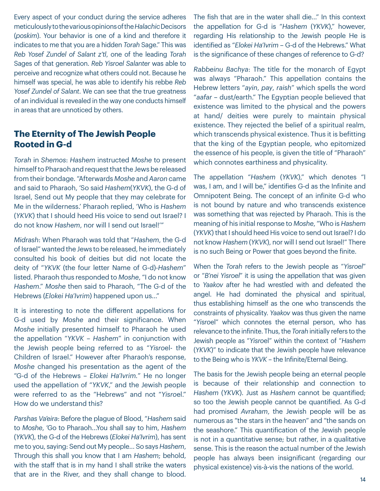Every aspect of your conduct during the service adheres meticulously to the various opinions of the *Halachic* Decisors (*poskim*). Your behavior is one of a kind and therefore it indicates to me that you are a hidden *Torah* Sage." This was *Reb Yosef Zundel of Salant z'tl*, one of the leading *Torah* Sages of that generation. *Reb Yisroel Salanter* was able to perceive and recognize what others could not. Because he himself was special, he was able to identify his rebbe *Reb Yosef Zundel of Salant*. We can see that the true greatness of an individual is revealed in the way one conducts himself in areas that are unnoticed by others.

# **The Eternity of The Jewish People Rooted in G-d**

*Torah* in *Shemos*: *Hashem* instructed *Moshe* to present himself to Pharaoh and request that the Jews be released from their bondage. "Afterwards *Moshe* and *Aaron* came and said to Pharaoh, 'So said *Hashem*(*YKVK*), the G-d of Israel, Send out My people that they may celebrate for Me in the wilderness.' Pharaoh replied, 'Who is *Hashem* (*YKVK*) that I should heed His voice to send out Israel? I do not know *Hashem*, nor will I send out Israel!'"

*Midrash*: When Pharaoh was told that "*Hashem*, the G-d of Israel" wanted the Jews to be released, he immediately consulted his book of deities but did not locate the deity of "*YKVK* (the four letter Name of G-d)-*Hashem*" listed. Pharaoh thus responded to *Moshe*, "I do not know *Hashem*." *Moshe* then said to Pharaoh, "The G-d of the Hebrews (*Elokei Ha'Ivrim*) happened upon us…"

It is interesting to note the different appellations for G-d used by *Moshe* and their significance. When *Moshe* initially presented himself to Pharaoh he used the appellation "*YKVK* – *Hashem*" in conjunction with the Jewish people being referred to as "*Yisro*el- the Children of Israel." However after Pharaoh's response, *Moshe* changed his presentation as the agent of the "G-d of the Hebrews – *Elokei Ha'Ivrim.*" He no longer used the appellation of "*YKVK*," and the Jewish people were referred to as the "Hebrews" and not "*Yisro*el." How do we understand this?

*Parshas Va'eira*: Before the plague of Blood, "*Hashem* said to *Moshe*, 'Go to Pharaoh…You shall say to him, *Hashem* (*YKVK*), the G-d of the Hebrews (*Elokei Ha'Ivrim*), has sent me to you, saying: Send out My people… So says *Hashem*, Through this shall you know that I am *Hashem*; behold, with the staff that is in my hand I shall strike the waters that are in the River, and they shall change to blood. The fish that are in the water shall die…" In this context the appellation for G-d is "*Hashem* (*YKVK*)," however, regarding His relationship to the Jewish people He is identified as "*Elokei Ha'Ivrim* – G-d of the Hebrews." What is the significance of these changes of reference to G-d?

*Rabbeinu Bachya*: The title for the monarch of Egypt was always "Pharaoh." This appellation contains the Hebrew letters "*ayin*, *pay*, *raish*" which spells the word "*aafar* – dust/earth." The Egyptian people believed that existence was limited to the physical and the powers at hand/ deities were purely to maintain physical existence. They rejected the belief of a spiritual realm, which transcends physical existence. Thus it is befitting that the king of the Egyptian people, who epitomized the essence of his people, is given the title of "Pharaoh" which connotes earthiness and physicality.

The appellation "*Hashem* (*YKVK*)," which denotes "I was, I am, and I will be," identifies G-d as the Infinite and Omnipotent Being. The concept of an infinite G-d who is not bound by nature and who transcends existence was something that was rejected by Pharaoh. This is the meaning of his initial response to *Moshe*, "Who is *Hashem* (*YKVK*) that I should heed His voice to send out Israel? I do not know *Hashem* (*YKVK*), nor will I send out Israel!" There is no such Being or Power that goes beyond the finite.

When the *Torah* refers to the Jewish people as "*Yisroel*" or "*B'nei Yisroel*" it is using the appellation that was given to *Yaakov* after he had wrestled with and defeated the angel. He had dominated the physical and spiritual, thus establishing himself as the one who transcends the constraints of physicality. *Yaakov* was thus given the name "*Yisro*el" which connotes the eternal person, who has relevance to the infinite. Thus, the *Torah* initially refers to the Jewish people as "*Yisro*el" within the context of "*Hashem* (*YKVK*)" to indicate that the Jewish people have relevance to the Being who is *YKVK* – the Infinite/Eternal Being.

The basis for the Jewish people being an eternal people is because of their relationship and connection to *Hashem* (*YKVK*). Just as *Hashem* cannot be quantified; so too the Jewish people cannot be quantified. As G-d had promised *Avraham*, the Jewish people will be as numerous as "the stars in the heaven" and "the sands on the seashore." This quantification of the Jewish people is not in a quantitative sense; but rather, in a qualitative sense. This is the reason the actual number of the Jewish people has always been insignificant (regarding our physical existence) vis-à-vis the nations of the world.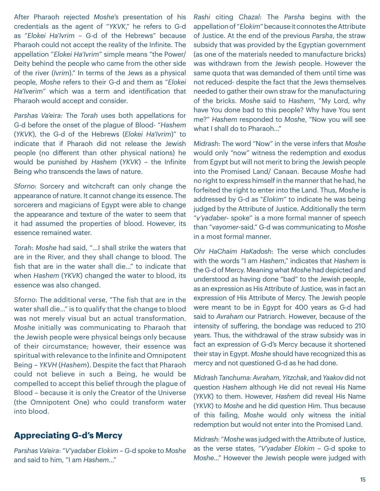After Pharaoh rejected *Moshe*'s presentation of his credentials as the agent of "*YKVK*," he refers to G-d as "*Elokei Ha'Ivrim* – G-d of the Hebrews" because Pharaoh could not accept the reality of the Infinite. The appellation "*Elokei Ha'Ivrim*" simple means "the Power/ Deity behind the people who came from the other side of the river (*Ivrim*)." In terms of the Jews as a physical people, *Moshe* refers to their G-d and them as "*Elokei Ha'Iverim*" which was a term and identification that Pharaoh would accept and consider.

*Parshas Va'eira:* The *Torah* uses both appellations for G-d before the onset of the plague of Blood- "*Hashem* (*YKVK*), the G-d of the Hebrews (*Elokei Ha'Ivrim*)" to indicate that if Pharaoh did not release the Jewish people (no different than other physical nations) he would be punished by *Hashem* (*YKVK*) – the Infinite Being who transcends the laws of nature.

*Sforno*: Sorcery and witchcraft can only change the appearance of nature. It cannot change its essence. The sorcerers and magicians of Egypt were able to change the appearance and texture of the water to seem that it had assumed the properties of blood. However, its essence remained water.

*Torah*: *Moshe* had said, "…I shall strike the waters that are in the River, and they shall change to blood. The fish that are in the water shall die…" to indicate that when *Hashem* (*YKVK*) changed the water to blood, its essence was also changed.

*Sforno*: The additional verse, "The fish that are in the water shall die…" is to qualify that the change to blood was not merely visual but an actual transformation. *Moshe* initially was communicating to Pharaoh that the Jewish people were physical beings only because of their circumstance; however, their essence was spiritual with relevance to the Infinite and Omnipotent Being – *YKVH* (*Hashem*). Despite the fact that Pharaoh could not believe in such a Being, he would be compelled to accept this belief through the plague of Blood – because it is only the Creator of the Universe (the Omnipotent One) who could transform water into blood.

#### **Appreciating G-d's Mercy**

*Parshas Va'eira*: "*V'yadaber Elokim* – G-d spoke to *Moshe* and said to him, "I am *Hashem*…"

*Rashi* citing *Chazal*: The *Parsha* begins with the appellation of "*Elokim*" because it connotes the Attribute of Justice. At the end of the previous *Parsha*, the straw subsidy that was provided by the Egyptian government (as one of the materials needed to manufacture bricks) was withdrawn from the Jewish people. However the same quota that was demanded of them until time was not reduced- despite the fact that the Jews themselves needed to gather their own straw for the manufacturing of the bricks. *Moshe* said to *Hashem*, "My Lord, why have You done bad to this people? Why have You sent me?" *Hashem* responded to *Moshe*, "Now you will see what I shall do to Pharaoh…"

*Midrash*: The word "Now" in the verse infers that *Moshe* would only "now" witness the redemption and exodus from Egypt but will not merit to bring the Jewish people into the Promised Land/ Canaan. Because *Moshe* had no right to express himself in the manner that he had, he forfeited the right to enter into the Land. Thus, *Moshe* is addressed by G-d as "*Elokim*" to indicate he was being judged by the Attribute of Justice. Additionally the term "*v'yadaber*- spoke" is a more formal manner of speech than "*vayomer*-said." G-d was communicating to *Moshe* in a most formal manner.

*Ohr HaChaim HaKadosh*: The verse which concludes with the words "I am *Hashem*," indicates that *Hashem* is the G-d of Mercy. Meaning what *Moshe* had depicted and understood as having done "bad" to the Jewish people, as an expression as His Attribute of Justice, was in fact an expression of His Attribute of Mercy. The Jewish people were meant to be in Egypt for 400 years as G-d had said to *Avraham* our Patriarch. However, because of the intensity of suffering, the bondage was reduced to 210 years. Thus, the withdrawal of the straw subsidy was in fact an expression of G-d's Mercy because it shortened their stay in Egypt. *Moshe* should have recognized this as mercy and not questioned G-d as he had done.

*Midrash Tanchuma*: *Avraham*, *Yitzchak*, and *Yaakov* did not question *Hashem* although He did not reveal His Name (*YKVK*) to them. However, *Hashem* did reveal His Name (*YKVK*) to *Moshe* and he did question Him. Thus because of this failing, *Moshe* would only witness the initial redemption but would not enter into the Promised Land.

*Midrash*: "*Moshe* was judged with the Attribute of Justice, as the verse states, "*V'yadaber Elokim* – G-d spoke to *Moshe*…" However the Jewish people were judged with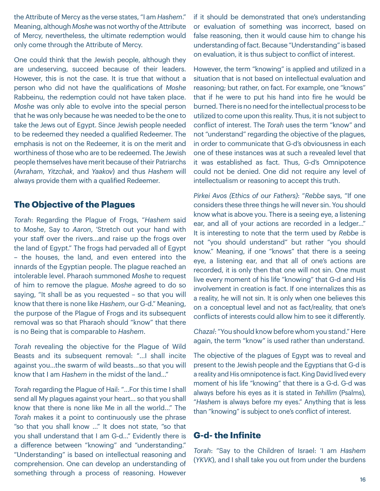the Attribute of Mercy as the verse states, "I am *Hashem*." Meaning, although *Moshe* was not worthy of the Attribute of Mercy, nevertheless, the ultimate redemption would only come through the Attribute of Mercy.

One could think that the Jewish people, although they are undeserving, succeed because of their leaders. However, this is not the case. It is true that without a person who did not have the qualifications of *Moshe* Rabbeinu, the redemption could not have taken place. *Moshe* was only able to evolve into the special person that he was only because he was needed to be the one to take the Jews out of Egypt. Since Jewish people needed to be redeemed they needed a qualified Redeemer. The emphasis is not on the Redeemer, it is on the merit and worthiness of those who are to be redeemed. The Jewish people themselves have merit because of their Patriarchs (*Avraham*, *Yitzchak*, and *Yaakov*) and thus *Hashem* will always provide them with a qualified Redeemer.

#### **The Objective of the Plagues**

*Torah*: Regarding the Plague of Frogs, "*Hashem* said to *Moshe*, Say to *Aaron*, 'Stretch out your hand with your staff over the rivers…and raise up the frogs over the land of Egypt." The frogs had pervaded all of Egypt – the houses, the land, and even entered into the innards of the Egyptian people. The plague reached an intolerable level. Pharaoh summoned *Moshe* to request of him to remove the plague. *Moshe* agreed to do so saying, "It shall be as you requested – so that you will know that there is none like *Hashem*, our G-d." Meaning, the purpose of the Plague of Frogs and its subsequent removal was so that Pharaoh should "know" that there is no Being that is comparable to *Hashem*.

*Torah* revealing the objective for the Plague of Wild Beasts and its subsequent removal: "…I shall incite against you…the swarm of wild beasts…so that you will know that I am *Hashem* in the midst of the land…"

*Torah* regarding the Plague of Hail: "…For this time I shall send all My plagues against your heart… so that you shall know that there is none like Me in all the world…" The *Torah* makes it a point to continuously use the phrase "so that you shall know …" It does not state, "so that you shall understand that I am G-d..." Evidently there is a difference between "knowing" and "understanding." "Understanding" is based on intellectual reasoning and comprehension. One can develop an understanding of something through a process of reasoning. However if it should be demonstrated that one's understanding or evaluation of something was incorrect, based on false reasoning, then it would cause him to change his understanding of fact. Because "Understanding" is based on evaluation, it is thus subject to conflict of interest.

However, the term "knowing" is applied and utilized in a situation that is not based on intellectual evaluation and reasoning; but rather, on fact. For example, one "knows" that if he were to put his hand into fire he would be burned. There is no need for the intellectual process to be utilized to come upon this reality. Thus, it is not subject to conflict of interest. The *Torah* uses the term "know" and not "understand" regarding the objective of the plagues, in order to communicate that G-d's obviousness in each one of these instances was at such a revealed level that it was established as fact. Thus, G-d's Omnipotence could not be denied. One did not require any level of intellectualism or reasoning to accept this truth.

*Pirkei Avos (Ethics of our Fathers)*: "*Rebbe* says, "If one considers these three things he will never sin. You should know what is above you. There is a seeing eye, a listening ear, and all of your actions are recorded in a ledger…" It is interesting to note that the term used by *Rebbe* is not "you should understand" but rather "you should know." Meaning, if one "knows" that there is a seeing eye, a listening ear, and that all of one's actions are recorded, it is only then that one will not sin. One must live every moment of his life "knowing" that G-d and His involvement in creation is fact. If one internalizes this as a reality, he will not sin. It is only when one believes this on a conceptual level and not as fact/reality, that one's conflicts of interests could allow him to see it differently.

*Chazal*: "You should know before whom you stand." Here again, the term "know" is used rather than understand.

The objective of the plagues of Egypt was to reveal and present to the Jewish people and the Egyptians that G-d is a reality and His omnipotence is fact. King David lived every moment of his life "knowing" that there is a G-d. G-d was always before his eyes as it is stated in *Tehillim* (Psalms), "*Hashem* is always before my eyes." Anything that is less than "knowing" is subject to one's conflict of interest.

#### **G-d- the Infinite**

*Torah*: "Say to the Children of Israel: 'I am *Hashem* (*YKVK*), and I shall take you out from under the burdens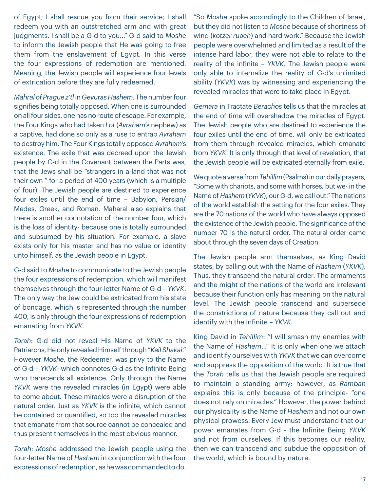of Egypt; I shall rescue you from their service; I shall redeem you with an outstretched arm and with great judgments. I shall be a G-d to you…" G-d said to *Moshe* to inform the Jewish people that He was going to free them from the enslavement of Egypt. In this verse the four expressions of redemption are mentioned. Meaning, the Jewish people will experience four levels of extrication before they are fully redeemed.

*Mahral of Prague z'tl* in *Gevuras Hashem:* The number four signifies being totally opposed. When one is surrounded on all four sides, one has no route of escape. For example, the Four Kings who had taken *Lot* (*Avraham*'s nephew) as a captive, had done so only as a ruse to entrap *Avraham* to destroy him. The Four Kings totally opposed *Avraham*'s existence. The exile that was decreed upon the Jewish people by G-d in the Covenant between the Parts was, that the Jews shall be "strangers in a land that was not their own " for a period of 400 years (which is a multiple of four). The Jewish people are destined to experience four exiles until the end of time – Babylon, Persian/ Medes, Greek, and Roman. Maharal also explains that there is another connotation of the number four, which is the loss of identity- because one is totally surrounded and subsumed by his situation. For example, a slave exists only for his master and has no value or identity unto himself, as the Jewish people in Egypt.

G-d said to *Moshe* to communicate to the Jewish people the four expressions of redemption, which will manifest themselves through the four-letter Name of G-d – *YKVK*. The only way the Jew could be extricated from his state of bondage, which is represented through the number 400, is only through the four expressions of redemption emanating from *YKVK*.

*Torah*: G-d did not reveal His Name of *YKVK* to the Patriarchs, He only revealed Himself through "*KeilShakai*." However *Moshe*, the Redeemer, was privy to the Name of G-d – *YKVK*- which connotes G-d as the Infinite Being who transcends all existence. Only through the Name *YKVK* were the revealed miracles (in Egypt) were able to come about. These miracles were a disruption of the natural order. Just as *YKVK* is the infinite, which cannot be contained or quantified, so too the revealed miracles that emanate from that source cannot be concealed and thus present themselves in the most obvious manner.

*Torah*: *Moshe* addressed the Jewish people using the four-letter Name of *Hashem* in conjunction with the four expressions of redemption, as he was commanded to do.

"So *Moshe* spoke accordingly to the Children of Israel, but they did not listen to *Moshe* because of shortness of wind (*kotzer ruach*) and hard work." Because the Jewish people were overwhelmed and limited as a result of the intense hard labor, they were not able to relate to the reality of the infinite – *YKVK*. The Jewish people were only able to internalize the reality of G-d's unlimited ability (*YKVK*) was by witnessing and experiencing the revealed miracles that were to take place in Egypt.

*Gemara* in Tractate *Berachos* tells us that the miracles at the end of time will overshadow the miracles of Egypt. The Jewish people who are destined to experience the four exiles until the end of time, will only be extricated from them through revealed miracles, which emanate from *YKVK*. It is only through that level of revelation, that the Jewish people will be extricated eternally from exile.

We quote a verse from *Tehillim* (Psalms) in our daily prayers, "Some with chariots, and some with horses, but we- in the Name of *Hashem* (*YKVK*), our G-d, we call out." The nations of the world establish the setting for the four exiles. They are the 70 nations of the world who have always opposed the existence of the Jewish people. The significance of the number 70 is the natural order. The natural order came about through the seven days of Creation.

The Jewish people arm themselves, as King David states, by calling out with the Name of *Hashem* (*YKVK*). Thus, they transcend the natural order. The armaments and the might of the nations of the world are irrelevant because their function only has meaning on the natural level. The Jewish people transcend and supersede the constrictions of nature because they call out and identify with the Infinite – *YKVK*.

King David in *Tehillim*: "I will smash my enemies with the Name of *Hashem*…" It is only when one we attach and identify ourselves with *YKVK* that we can overcome and suppress the opposition of the world. It is true that the *Torah* tells us that the Jewish people are required to maintain a standing army; however, as *Ramban* explains this is only because of the principle- "one does not rely on miracles." However, the power behind our physicality is the Name of *Hashem* and not our own physical prowess. Every Jew must understand that our power emanates from G-d - the Infinite Being *YKVK* and not from ourselves. If this becomes our reality, then we can transcend and subdue the opposition of the world, which is bound by nature.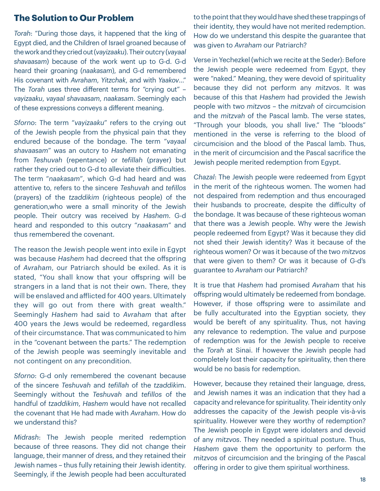#### **The Solution to Our Problem**

*Torah*: "During those days, it happened that the king of Egypt died, and the Children of Israel groaned because of the work and they cried out (*vayizaaku*). Their outcry (*vayaal shavaasam*) because of the work went up to G-d. G-d heard their groaning (*naakasam*), and G-d remembered His covenant with *Avraham*, *Yitzchak*, and with *Yaakov*…" The *Torah* uses three different terms for "crying out" – *vayizaaku*, *vayaal shavaasam*, *naakasam*. Seemingly each of these expressions conveys a different meaning.

*Sforno*: The term "*vayizaaku*" refers to the crying out of the Jewish people from the physical pain that they endured because of the bondage. The term "*vayaal shavaasam*" was an outcry to *Hashem* not emanating from *Teshuvah* (repentance) or *tefillah* (prayer) but rather they cried out to G-d to alleviate their difficulties. The term "*naakasam*", which G-d had heard and was attentive to, refers to the sincere *Teshuvah* and *tefillos* (prayers) of the *tzaddikim* (righteous people) of the generation,who were a small minority of the Jewish people. Their outcry was received by *Hashem*. G-d heard and responded to this outcry "*naakasam*" and thus remembered the covenant.

The reason the Jewish people went into exile in Egypt was because *Hashem* had decreed that the offspring of *Avraham*, our Patriarch should be exiled. As it is stated, "You shall know that your offspring will be strangers in a land that is not their own. There, they will be enslaved and afflicted for 400 years. Ultimately they will go out from there with great wealth." Seemingly *Hashem* had said to *Avraham* that after 400 years the Jews would be redeemed, regardless of their circumstance. That was communicated to him in the "covenant between the parts." The redemption of the Jewish people was seemingly inevitable and not contingent on any precondition.

*Sforno*: G-d only remembered the covenant because of the sincere *Teshuvah* and *tefillah* of the *tzaddik*im. Seemingly without the *Teshuvah* and *tefillos* of the handful of *tzaddikim*, *Hashem* would have not recalled the covenant that He had made with *Avraham*. How do we understand this?

*Midrash*: The Jewish people merited redemption because of three reasons. They did not change their language, their manner of dress, and they retained their Jewish names – thus fully retaining their Jewish identity. Seemingly, if the Jewish people had been acculturated

to the point that they would have shed these trappings of their identity, they would have not merited redemption. How do we understand this despite the guarantee that was given to *Avraham* our Patriarch?

Verse in Yechezkel (which we recite at the Seder): Before the Jewish people were redeemed from Egypt, they were "naked." Meaning, they were devoid of spirituality because they did not perform any *mitzvos*. It was because of this that *Hashem* had provided the Jewish people with two *mitzvos* – the *mitzvah* of circumcision and the *mitzvah* of the Pascal lamb. The verse states, "Through your bloods, you shall live." The "bloods" mentioned in the verse is referring to the blood of circumcision and the blood of the Pascal lamb. Thus, in the merit of circumcision and the Pascal sacrifice the Jewish people merited redemption from Egypt.

*Chazal*: The Jewish people were redeemed from Egypt in the merit of the righteous women. The women had not despaired from redemption and thus encouraged their husbands to procreate, despite the difficulty of the bondage. It was because of these righteous woman that there was a Jewish people. Why were the Jewish people redeemed from Egypt? Was it because they did not shed their Jewish identity? Was it because of the righteous women? Or was it because of the two *mitzvos* that were given to them? Or was it because of G-d's guarantee to *Avraham* our Patriarch?

It is true that *Hashem* had promised *Avraham* that his offspring would ultimately be redeemed from bondage. However, if those offspring were to assimilate and be fully acculturated into the Egyptian society, they would be bereft of any spirituality. Thus, not having any relevance to redemption. The value and purpose of redemption was for the Jewish people to receive the *Torah* at Sinai. If however the Jewish people had completely lost their capacity for spirituality, then there would be no basis for redemption.

However, because they retained their language, dress, and Jewish names it was an indication that they had a capacity and relevance for spirituality. Their identity only addresses the capacity of the Jewish people vis-à-vis spirituality. However were they worthy of redemption? The Jewish people in Egypt were idolaters and devoid of any *mitzvos*. They needed a spiritual posture. Thus, *Hashem* gave them the opportunity to perform the *mitzvos* of circumcision and the bringing of the Pascal offering in order to give them spiritual worthiness.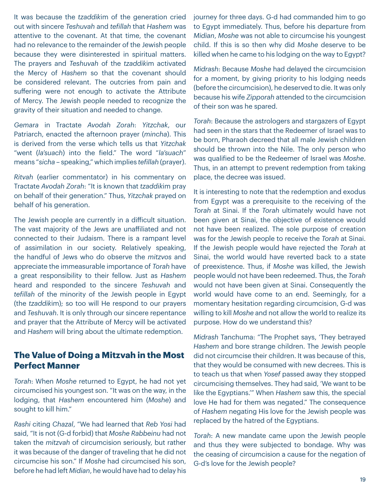It was because the *tzaddik*im of the generation cried out with sincere *Teshuvah* and *tefillah* that *Hashem* was attentive to the covenant. At that time, the covenant had no relevance to the remainder of the Jewish people because they were disinterested in spiritual matters. The prayers and *Teshuvah* of the *tzaddik*im activated the Mercy of *Hashem* so that the covenant should be considered relevant. The outcries from pain and suffering were not enough to activate the Attribute of Mercy. The Jewish people needed to recognize the gravity of their situation and needed to change.

*Gemara* in Tractate *Avodah Zorah*: *Yitzchak*, our Patriarch, enacted the afternoon prayer (*mincha*). This is derived from the verse which tells us that *Yitzchak* "went (*la'suach*) into the field." The word "*la'suach*" means "*sicha* – speaking," which implies *tefillah* (prayer).

*Ritvah* (earlier commentator) in his commentary on Tractate *Avodah Zorah*: "It is known that *tzaddik*im pray on behalf of their generation." Thus, *Yitzchak* prayed on behalf of his generation.

The Jewish people are currently in a difficult situation. The vast majority of the Jews are unaffiliated and not connected to their Judaism. There is a rampant level of assimilation in our society. Relatively speaking, the handful of Jews who do observe the *mitzvos* and appreciate the immeasurable importance of *Torah* have a great responsibility to their fellow. Just as *Hashem* heard and responded to the sincere *Teshuvah* and *tefillah* of the minority of the Jewish people in Egypt (the *tzaddik*im); so too will He respond to our prayers and *Teshuvah*. It is only through our sincere repentance and prayer that the Attribute of Mercy will be activated and *Hashem* will bring about the ultimate redemption.

# **The Value of Doing a Mitzvah in the Most Perfect Manner**

*Torah*: When *Moshe* returned to Egypt, he had not yet circumcised his youngest son. "It was on the way, in the lodging, that *Hashem* encountered him (*Moshe*) and sought to kill him."

*Rashi* citing *Chazal*, "We had learned that *Reb Yosi* had said, "It is not (G-d forbid) that *Moshe Rabbeinu* had not taken the *mitzvah* of circumcision seriously, but rather it was because of the danger of traveling that he did not circumcise his son." If *Moshe* had circumcised his son, before he had left *Midian*, he would have had to delay his journey for three days. G-d had commanded him to go to Egypt immediately. Thus, before his departure from *Midian*, *Moshe* was not able to circumcise his youngest child. If this is so then why did *Moshe* deserve to be killed when he came to his lodging on the way to Egypt?

*Midrash*: Because *Moshe* had delayed the circumcision for a moment, by giving priority to his lodging needs (before the circumcision), he deserved to die. It was only because his wife *Zipporah* attended to the circumcision of their son was he spared.

*Torah*: Because the astrologers and stargazers of Egypt had seen in the stars that the Redeemer of Israel was to be born, Pharaoh decreed that all male Jewish children should be thrown into the Nile. The only person who was qualified to be the Redeemer of Israel was *Moshe*. Thus, in an attempt to prevent redemption from taking place, the decree was issued.

It is interesting to note that the redemption and exodus from Egypt was a prerequisite to the receiving of the *Torah* at Sinai. If the *Torah* ultimately would have not been given at Sinai, the objective of existence would not have been realized. The sole purpose of creation was for the Jewish people to receive the *Torah* at Sinai. If the Jewish people would have rejected the *Torah* at Sinai, the world would have reverted back to a state of preexistence. Thus, if *Moshe* was killed, the Jewish people would not have been redeemed. Thus, the *Torah* would not have been given at Sinai. Consequently the world would have come to an end. Seemingly, for a momentary hesitation regarding circumcision, G-d was willing to kill *Moshe* and not allow the world to realize its purpose. How do we understand this?

*Midrash* Tanchuma: "The Prophet says, 'They betrayed *Hashem* and bore strange children. The Jewish people did not circumcise their children. It was because of this, that they would be consumed with new decrees. This is to teach us that when *Yosef* passed away they stopped circumcising themselves. They had said, 'We want to be like the Egyptians.'" When *Hashem* saw this, the special love He had for them was negated." The consequence of *Hashem* negating His love for the Jewish people was replaced by the hatred of the Egyptians.

*Torah*: A new mandate came upon the Jewish people and thus they were subjected to bondage. Why was the ceasing of circumcision a cause for the negation of G-d's love for the Jewish people?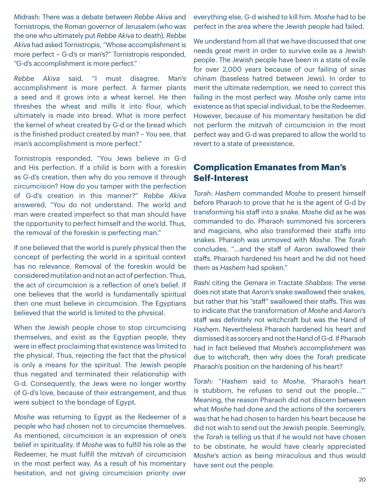*Midrash*: There was a debate between *Rebbe Akiva* and Tornistropis, the Roman governor of Jerusalem (who was the one who ultimately put *Rebbe Akiva* to death). *Rebbe Akiva* had asked Tornistropis, "Whose accomplishment is more perfect – G-d's or man's?" Tornistropis responded, "G-d's accomplishment is more perfect."

*Rebbe Akiva* said, "I must disagree. Man's accomplishment is more perfect. A farmer plants a seed and it grows into a wheat kernel. He then threshes the wheat and mills it into flour, which ultimately is made into bread. What is more perfect the kernel of wheat created by G-d or the bread which is the finished product created by man? – You see, that man's accomplishment is more perfect."

Tornistropis responded, "You Jews believe in G-d and His perfection. If a child is born with a foreskin as G-d's creation, then why do you remove it through circumcision? How do you tamper with the perfection of G-d's creation in this manner?" *Rebbe Akiva* answered, "You do not understand. The world and man were created imperfect so that man should have the opportunity to perfect himself and the world. Thus, the removal of the foreskin is perfecting man."

If one believed that the world is purely physical then the concept of perfecting the world in a spiritual context has no relevance. Removal of the foreskin would be considered mutilation and not an act of perfection. Thus, the act of circumcision is a reflection of one's belief. If one believes that the world is fundamentally spiritual then one must believe in circumcision. The Egyptians believed that the world is limited to the physical.

When the Jewish people chose to stop circumcising themselves, and exist as the Egyptian people, they were in effect proclaiming that existence was limited to the physical. Thus, rejecting the fact that the physical is only a means for the spiritual. The Jewish people thus negated and terminated their relationship with G-d. Consequently, the Jews were no longer worthy of G-d's love, because of their estrangement, and thus were subject to the bondage of Egypt.

*Moshe* was returning to Egypt as the Redeemer of a people who had chosen not to circumcise themselves. As mentioned, circumcision is an expression of one's belief in spirituality. If *Moshe* was to fulfill his role as the Redeemer, he must fulfill the *mitzvah* of circumcision in the most perfect way. As a result of his momentary hesitation, and not giving circumcision priority over

everything else, G-d wished to kill him. *Moshe* had to be perfect in the area where the Jewish people had failed.

We understand from all that we have discussed that one needs great merit in order to survive exile as a Jewish people. The Jewish people have been in a state of exile for over 2,000 years because of our failing of *sinas chinam* (baseless hatred between Jews). In order to merit the ultimate redemption, we need to correct this failing in the most perfect way. *Moshe* only came into existence as that special individual, to be the Redeemer. However, because of his momentary hesitation he did not perform the *mitzvah* of circumcision in the most perfect way and G-d was prepared to allow the world to revert to a state of preexistence.

### **Complication Emanates from Man's Self-Interest**

*Torah*: *Hashem* commanded *Moshe* to present himself before Pharaoh to prove that he is the agent of G-d by transforming his staff into a snake. *Moshe* did as he was commanded to do. Pharaoh summoned his sorcerers and magicians, who also transformed their staffs into snakes. Pharaoh was unmoved with *Moshe*. The *Torah* concludes, "…and the staff of *Aaron* swallowed their staffs. Pharaoh hardened his heart and he did not heed them as *Hashem* had spoken."

*Rashi* citing the *Gemara* in Tractate *Shabbos*: The verse does not state that *Aaron*'s snake swallowed their snakes, but rather that his "staff" swallowed their staffs. This was to indicate that the transformation of *Moshe* and *Aaron*'s staff was definitely not witchcraft but was the Hand of *Hashem*. Nevertheless Pharaoh hardened his heart and dismissed it as sorcery and not the Hand of G-d. If Pharaoh had in fact believed that *Moshe*'s accomplishment was due to witchcraft, then why does the *Torah* predicate Pharaoh's position on the hardening of his heart?

*Torah:* "*Hashem* said to *Moshe*, 'Pharaoh's heart is stubborn, he refuses to send out the people…'" Meaning, the reason Pharaoh did not discern between what *Moshe* had done and the actions of the sorcerers was that he had chosen to harden his heart because he did not wish to send out the Jewish people. Seemingly, the *Torah* is telling us that if he would not have chosen to be obstinate, he would have clearly appreciated *Moshe*'s action as being miraculous and thus would have sent out the people.